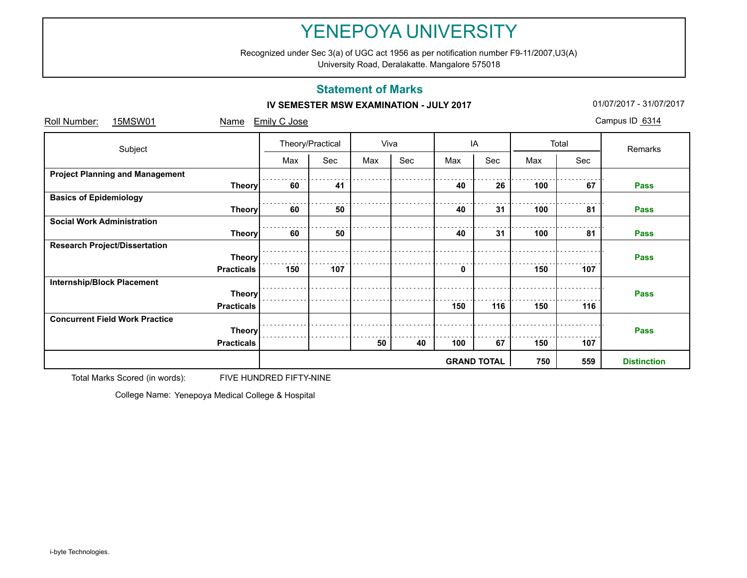Recognized under Sec 3(a) of UGC act 1956 as per notification number F9-11/2007,U3(A)

University Road, Deralakatte. Mangalore 575018

## **Statement of Marks**

### **IV SEMESTER MSW EXAMINATION - JULY 2017 101/07/2017** 01/07/2017 - 31/07/2017

| Roll Number:<br>15MSW01                | Name              | Emily C Jose     |     |      |     |     |                    |     |       | Campus ID 6314 |
|----------------------------------------|-------------------|------------------|-----|------|-----|-----|--------------------|-----|-------|----------------|
| Subject                                |                   | Theory/Practical |     | Viva |     | IA  |                    |     | Total | Remarks        |
|                                        |                   | Max              | Sec | Max  | Sec | Max | Sec                | Max | Sec   |                |
| <b>Project Planning and Management</b> |                   |                  |     |      |     |     |                    |     |       |                |
|                                        | <b>Theory</b>     | 60               | 41  |      |     | 40  | 26                 | 100 | 67    | Pass           |
| <b>Basics of Epidemiology</b>          |                   |                  |     |      |     |     |                    |     |       |                |
|                                        | <b>Theory</b>     | 60               | 50  |      |     | 40  | 31                 | 100 | 81    | <b>Pass</b>    |
| <b>Social Work Administration</b>      |                   |                  |     |      |     |     |                    |     |       |                |
|                                        | <b>Theory</b>     | 60               | 50  |      |     | 40  | 31                 | 100 | 81    | Pass           |
| <b>Research Project/Dissertation</b>   |                   |                  |     |      |     |     |                    |     |       |                |
|                                        | <b>Theory</b>     |                  |     |      |     |     |                    |     |       | <b>Pass</b>    |
|                                        | <b>Practicals</b> | 150              | 107 |      |     | 0   |                    | 150 | 107   |                |
| <b>Internship/Block Placement</b>      |                   |                  |     |      |     |     |                    |     |       |                |
|                                        | <b>Theory</b>     |                  |     |      |     |     |                    |     |       | <b>Pass</b>    |
|                                        | <b>Practicals</b> |                  |     |      |     | 150 | 116                | 150 | 116   |                |
| <b>Concurrent Field Work Practice</b>  |                   |                  |     |      |     |     |                    |     |       |                |
|                                        | <b>Theory</b>     | <b>Pass</b>      |     |      |     |     |                    |     |       |                |
|                                        | <b>Practicals</b> |                  |     | 50   | 40  | 100 | 67                 | 150 | 107   |                |
|                                        |                   |                  |     |      | 750 | 559 | <b>Distinction</b> |     |       |                |

Total Marks Scored (in words): FIVE HUNDRED FIFTY-NINE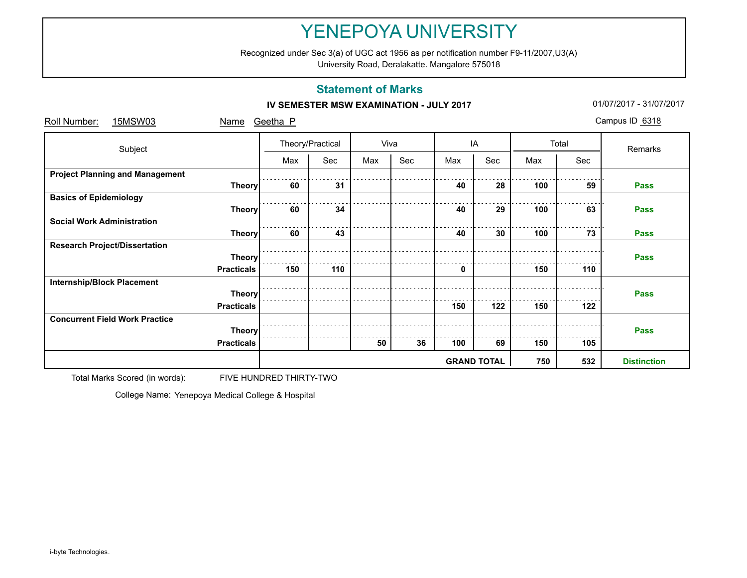Recognized under Sec 3(a) of UGC act 1956 as per notification number F9-11/2007,U3(A)

University Road, Deralakatte. Mangalore 575018

## **Statement of Marks**

### **IV SEMESTER MSW EXAMINATION - JULY 2017 101/07/2017** 01/07/2017 - 31/07/2017

| Roll Number:<br>15MSW03                | Name              | Geetha P         |     |                    |      |     |     |     |       | Campus ID 6318 |  |  |
|----------------------------------------|-------------------|------------------|-----|--------------------|------|-----|-----|-----|-------|----------------|--|--|
| Subject                                |                   | Theory/Practical |     |                    | Viva |     | IA  |     | Total | Remarks        |  |  |
|                                        |                   | Max              | Sec | Max                | Sec  | Max | Sec | Max | Sec   |                |  |  |
| <b>Project Planning and Management</b> |                   |                  |     |                    |      |     |     |     |       |                |  |  |
|                                        | <b>Theory</b>     | 60               | 31  |                    |      | 40  | 28  | 100 | 59    | Pass           |  |  |
| <b>Basics of Epidemiology</b>          |                   |                  |     |                    |      |     |     |     |       |                |  |  |
|                                        | <b>Theory</b>     | 60               | 34  |                    |      | 40  | 29  | 100 | 63    | <b>Pass</b>    |  |  |
| <b>Social Work Administration</b>      |                   |                  |     |                    |      |     |     |     |       |                |  |  |
|                                        | <b>Theory</b>     | 60               | 43  |                    |      | 40  | 30  | 100 | 73    | <b>Pass</b>    |  |  |
| <b>Research Project/Dissertation</b>   |                   |                  |     |                    |      |     |     |     |       |                |  |  |
|                                        | <b>Theory</b>     |                  |     |                    |      |     |     |     |       | <b>Pass</b>    |  |  |
|                                        | <b>Practicals</b> | 150              | 110 |                    |      | 0   |     | 150 | 110   |                |  |  |
| <b>Internship/Block Placement</b>      |                   |                  |     |                    |      |     |     |     |       |                |  |  |
|                                        | <b>Theory</b>     |                  |     |                    |      |     |     |     |       | <b>Pass</b>    |  |  |
|                                        | <b>Practicals</b> |                  |     |                    |      | 150 | 122 | 150 | 122   |                |  |  |
| <b>Concurrent Field Work Practice</b>  |                   |                  |     |                    |      |     |     |     |       |                |  |  |
|                                        | <b>Theory</b>     |                  |     |                    |      |     |     |     |       | <b>Pass</b>    |  |  |
|                                        | <b>Practicals</b> |                  |     | 50                 | 36   | 100 | 69  | 150 | 105   |                |  |  |
|                                        |                   |                  | 532 | <b>Distinction</b> |      |     |     |     |       |                |  |  |

Total Marks Scored (in words): FIVE HUNDRED THIRTY-TWO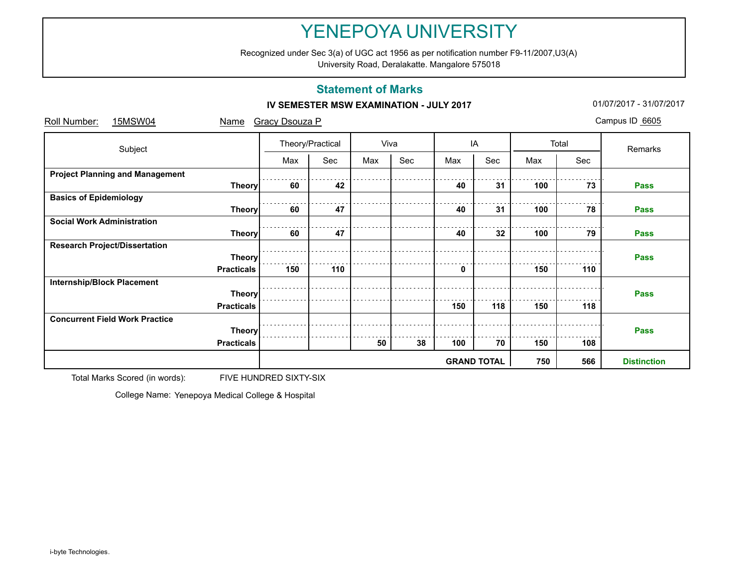Recognized under Sec 3(a) of UGC act 1956 as per notification number F9-11/2007,U3(A)

University Road, Deralakatte. Mangalore 575018

## **Statement of Marks**

#### **IV SEMESTER MSW EXAMINATION - JULY 2017 101/07/2017** 01/07/2017 - 31/07/2017

| Roll Number:<br>15MSW04                | Name              | <b>Gracy Dsouza P</b> |     |      |     |                    |     |     |                    | Campus ID 6605 |
|----------------------------------------|-------------------|-----------------------|-----|------|-----|--------------------|-----|-----|--------------------|----------------|
| Subject                                |                   | Theory/Practical      |     | Viva |     | IA                 |     |     | Total              | Remarks        |
|                                        |                   | Max                   | Sec | Max  | Sec | Max                | Sec | Max | Sec                |                |
| <b>Project Planning and Management</b> |                   |                       |     |      |     |                    |     |     |                    |                |
|                                        | <b>Theory</b>     | 60                    | 42  |      |     | 40                 | 31  | 100 | 73                 | Pass           |
| <b>Basics of Epidemiology</b>          |                   |                       |     |      |     |                    |     |     |                    |                |
|                                        | <b>Theory</b>     | 60                    | 47  |      |     | 40                 | 31  | 100 | 78                 | <b>Pass</b>    |
| <b>Social Work Administration</b>      |                   |                       |     |      |     |                    |     |     |                    |                |
|                                        | <b>Theory</b>     | 60                    | 47  |      |     | 40                 | 32  | 100 | 79                 | Pass           |
| <b>Research Project/Dissertation</b>   |                   |                       |     |      |     |                    |     |     |                    |                |
|                                        | <b>Theory</b>     |                       |     |      |     |                    |     |     |                    | <b>Pass</b>    |
|                                        | <b>Practicals</b> | 150                   | 110 |      |     | 0                  |     | 150 | 110                |                |
| <b>Internship/Block Placement</b>      |                   |                       |     |      |     |                    |     |     |                    |                |
|                                        | <b>Theory</b>     |                       |     |      |     |                    |     |     |                    | <b>Pass</b>    |
|                                        | <b>Practicals</b> |                       |     |      |     | 150                | 118 | 150 | 118                |                |
| <b>Concurrent Field Work Practice</b>  |                   |                       |     |      |     |                    |     |     |                    |                |
|                                        | <b>Theory</b>     |                       |     |      |     |                    |     |     | <b>Pass</b>        |                |
|                                        | <b>Practicals</b> |                       |     | 50   | 38  | 100                | 70  | 150 | 108                |                |
|                                        |                   |                       |     |      |     | <b>GRAND TOTAL</b> | 750 | 566 | <b>Distinction</b> |                |

Total Marks Scored (in words): FIVE HUNDRED SIXTY-SIX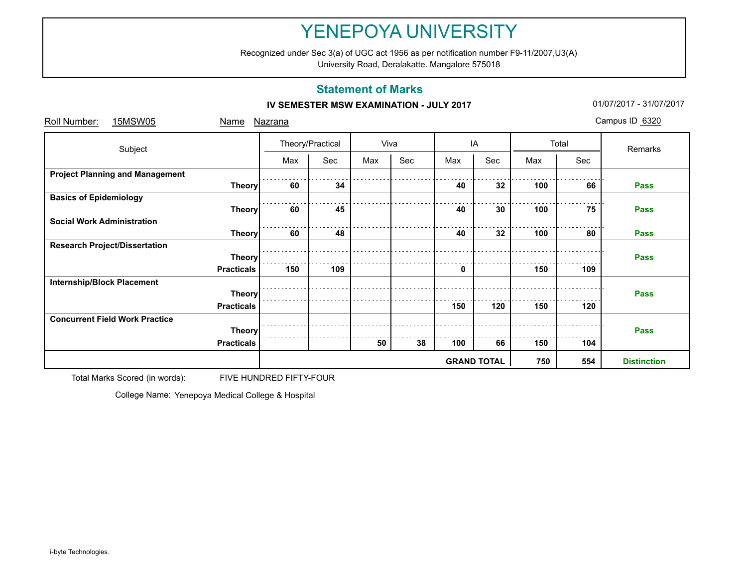Recognized under Sec 3(a) of UGC act 1956 as per notification number F9-11/2007,U3(A)

University Road, Deralakatte. Mangalore 575018

## **Statement of Marks**

### **IV SEMESTER MSW EXAMINATION - JULY 2017 101/07/2017** 01/07/2017 - 31/07/2017

| Roll Number:<br>15MSW05                | Name              | <u>Nazrana</u>   |     |     |      |     |                    |     |       | Campus ID 6320 |  |  |  |  |
|----------------------------------------|-------------------|------------------|-----|-----|------|-----|--------------------|-----|-------|----------------|--|--|--|--|
| Subject                                |                   | Theory/Practical |     |     | Viva |     | IA                 |     | Total | Remarks        |  |  |  |  |
|                                        |                   | Max              | Sec | Max | Sec  | Max | Sec                | Max | Sec   |                |  |  |  |  |
| <b>Project Planning and Management</b> |                   |                  |     |     |      |     |                    |     |       |                |  |  |  |  |
|                                        | <b>Theory</b>     | 60               | 34  |     |      | 40  | 32                 | 100 | 66    | Pass           |  |  |  |  |
| <b>Basics of Epidemiology</b>          |                   |                  |     |     |      |     |                    |     |       |                |  |  |  |  |
|                                        | Theory            | 60               | 45  |     |      | 40  | 30                 | 100 | 75    | <b>Pass</b>    |  |  |  |  |
| <b>Social Work Administration</b>      |                   |                  |     |     |      |     |                    |     |       |                |  |  |  |  |
|                                        | <b>Theory</b>     | 60               | 48  |     |      | 40  | 32                 | 100 | 80    | <b>Pass</b>    |  |  |  |  |
| <b>Research Project/Dissertation</b>   |                   |                  |     |     |      |     |                    |     |       |                |  |  |  |  |
|                                        | <b>Theory</b>     |                  |     |     |      |     |                    |     |       | <b>Pass</b>    |  |  |  |  |
|                                        | <b>Practicals</b> | 150              | 109 |     |      | 0   |                    | 150 | 109   |                |  |  |  |  |
| <b>Internship/Block Placement</b>      |                   |                  |     |     |      |     |                    |     |       |                |  |  |  |  |
|                                        | <b>Theory</b>     |                  |     |     |      |     |                    |     |       | <b>Pass</b>    |  |  |  |  |
|                                        | <b>Practicals</b> |                  |     |     |      | 150 | 120                | 150 | 120   |                |  |  |  |  |
| <b>Concurrent Field Work Practice</b>  |                   |                  |     |     |      |     |                    |     |       |                |  |  |  |  |
|                                        | <b>Theory</b>     |                  |     |     |      |     |                    |     |       | <b>Pass</b>    |  |  |  |  |
|                                        | <b>Practicals</b> |                  |     | 50  | 38   | 100 | 66                 | 150 | 104   |                |  |  |  |  |
|                                        |                   |                  |     |     | 750  | 554 | <b>Distinction</b> |     |       |                |  |  |  |  |

Total Marks Scored (in words): FIVE HUNDRED FIFTY-FOUR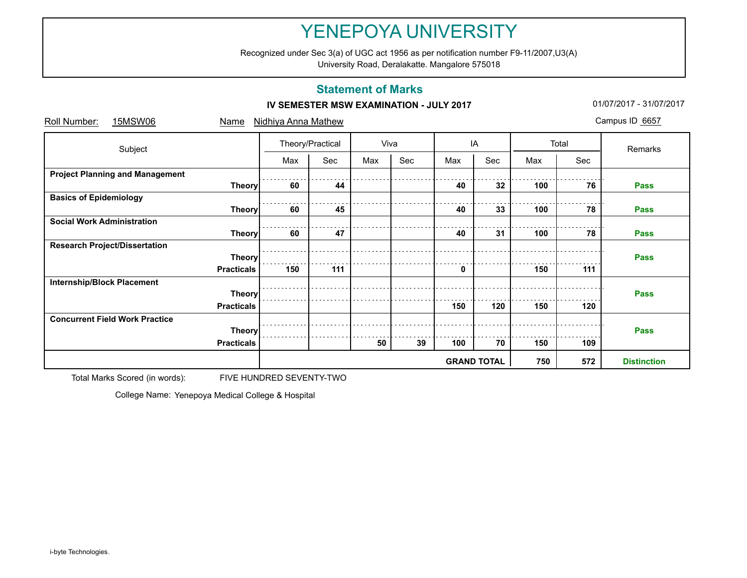Recognized under Sec 3(a) of UGC act 1956 as per notification number F9-11/2007,U3(A)

University Road, Deralakatte. Mangalore 575018

## **Statement of Marks**

#### **IV SEMESTER MSW EXAMINATION - JULY 2017 101/07/2017** 01/07/2017 - 31/07/2017

| Roll Number:<br>15MSW06                | Name              | <b>Nidhiya Anna Mathew</b> |     |                    |     |     |     |     |       | Campus ID 6657 |  |
|----------------------------------------|-------------------|----------------------------|-----|--------------------|-----|-----|-----|-----|-------|----------------|--|
| Subject                                |                   | Theory/Practical           |     | Viva               |     | IA  |     |     | Total | Remarks        |  |
|                                        |                   | Max                        | Sec | Max                | Sec | Max | Sec | Max | Sec   |                |  |
| <b>Project Planning and Management</b> |                   |                            |     |                    |     |     |     |     |       |                |  |
|                                        | <b>Theory</b>     | 60                         | 44  |                    |     | 40  | 32  | 100 | 76    | Pass           |  |
| <b>Basics of Epidemiology</b>          |                   |                            |     |                    |     |     |     |     |       |                |  |
|                                        | <b>Theory</b>     | 60                         | 45  |                    |     | 40  | 33  | 100 | 78    | <b>Pass</b>    |  |
| <b>Social Work Administration</b>      |                   |                            |     |                    |     |     |     |     |       |                |  |
|                                        | <b>Theory</b>     | 60                         | 47  |                    |     | 40  | 31  | 100 | 78    | <b>Pass</b>    |  |
| <b>Research Project/Dissertation</b>   |                   |                            |     |                    |     |     |     |     |       |                |  |
|                                        | <b>Theory</b>     |                            |     |                    |     |     |     |     |       | <b>Pass</b>    |  |
|                                        | <b>Practicals</b> | 150                        | 111 |                    |     | 0   |     | 150 | 111   |                |  |
| <b>Internship/Block Placement</b>      |                   |                            |     |                    |     |     |     |     |       |                |  |
|                                        | <b>Theory</b>     |                            |     |                    |     |     |     |     |       | <b>Pass</b>    |  |
|                                        | <b>Practicals</b> |                            |     |                    |     | 150 | 120 | 150 | 120   |                |  |
| <b>Concurrent Field Work Practice</b>  |                   |                            |     |                    |     |     |     |     |       |                |  |
|                                        | <b>Theory</b>     | <b>Pass</b>                |     |                    |     |     |     |     |       |                |  |
|                                        | <b>Practicals</b> |                            |     | 50                 | 39  | 100 | 70  | 150 | 109   |                |  |
|                                        |                   |                            | 572 | <b>Distinction</b> |     |     |     |     |       |                |  |

Total Marks Scored (in words): FIVE HUNDRED SEVENTY-TWO